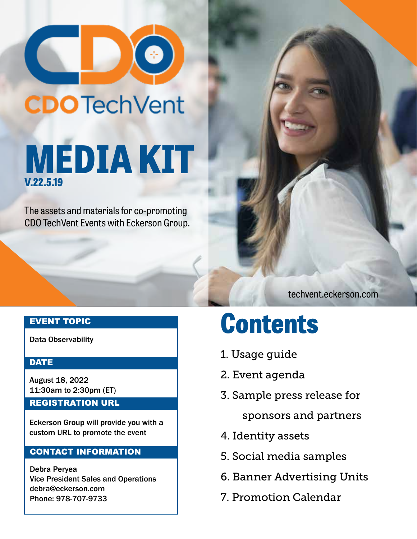

# **CDO** TechVent **MEDIA KIT V.22.5.19**

The assets and materials for co-promoting CDO TechVent Events with Eckerson Group.

EVENT TOPIC

Data Observability

### **DATE**

August 18, 2022 11:30am to 2:30pm (ET)

### REGISTRATION URL

Eckerson Group will provide you with a custom URL to promote the event

## CONTACT INFORMATION

Debra Peryea Vice President Sales and Operations debra@eckerson.com Phone: 978-707-9733

## **Contents**

- 1. Usage guide
- 2. Event agenda
- 3. Sample press release for

sponsors and partners

techvent.eckerson.com

- 4. Identity assets
- 5. Social media samples
- 6. Banner Advertising Units
- 7. Promotion Calendar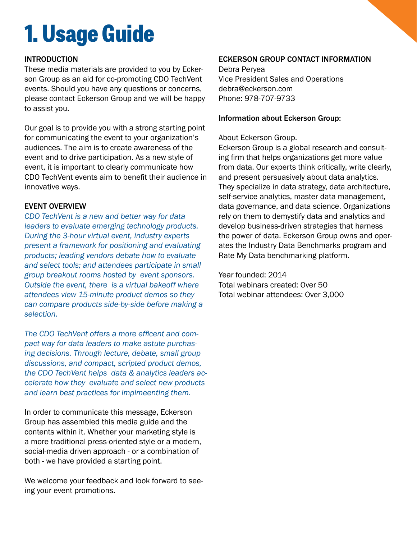## **1. Usage Guide**

### INTRODUCTION

These media materials are provided to you by Eckerson Group as an aid for co-promoting CDO TechVent events. Should you have any questions or concerns, please contact Eckerson Group and we will be happy to assist you.

Our goal is to provide you with a strong starting point for communicating the event to your organization's audiences. The aim is to create awareness of the event and to drive participation. As a new style of event, it is important to clearly communicate how CDO TechVent events aim to benefit their audience in innovative ways.

### EVENT OVERVIEW

*CDO TechVent is a new and better way for data leaders to evaluate emerging technology products. During the 3-hour virtual event, industry experts present a framework for positioning and evaluating products; leading vendors debate how to evaluate and select tools; and attendees participate in small group breakout rooms hosted by event sponsors. Outside the event, there is a virtual bakeoff where attendees view 15-minute product demos so they can compare products side-by-side before making a selection.* 

*The CDO TechVent offers a more efficent and compact way for data leaders to make astute purchasing decisions. Through lecture, debate, small group discussions, and compact, scripted product demos, the CDO TechVent helps data & analytics leaders accelerate how they evaluate and select new products and learn best practices for implmeenting them.* 

In order to communicate this message, Eckerson Group has assembled this media guide and the contents within it. Whether your marketing style is a more traditional press-oriented style or a modern, social-media driven approach - or a combination of both - we have provided a starting point.

We welcome your feedback and look forward to seeing your event promotions.

## ECKERSON GROUP CONTACT INFORMATION

Debra Peryea Vice President Sales and Operations debra@eckerson.com Phone: 978-707-9733

### Information about Eckerson Group:

### About Eckerson Group.

Eckerson Group is a global research and consulting firm that helps organizations get more value from data. Our experts think critically, write clearly, and present persuasively about data analytics. They specialize in data strategy, data architecture, self-service analytics, master data management, data governance, and data science. Organizations rely on them to demystify data and analytics and develop business-driven strategies that harness the power of data. Eckerson Group owns and operates the Industry Data Benchmarks program and Rate My Data benchmarking platform.

#### Year founded: 2014

Total webinars created: Over 50 Total webinar attendees: Over 3,000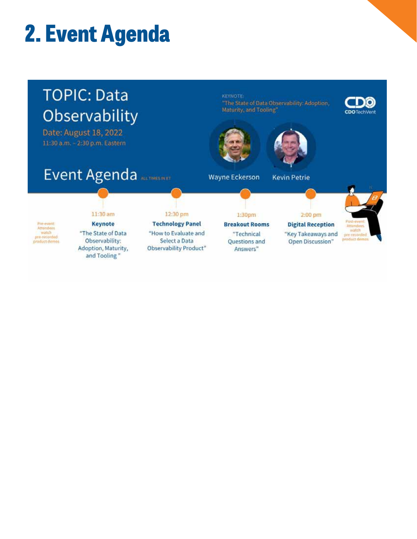## **2. Event Agenda**

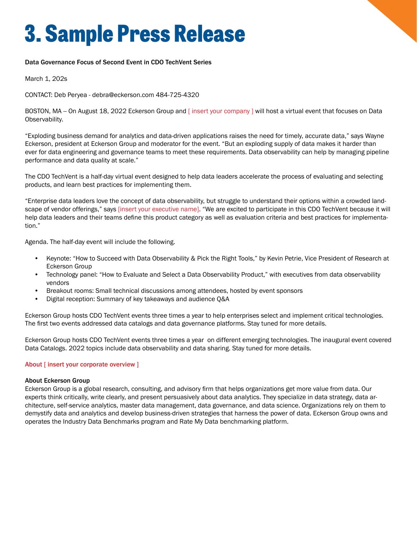## **3. Sample Press Release**

#### Data Governance Focus of Second Event in CDO TechVent Series

March 1, 202s

CONTACT: Deb Peryea - debra@eckerson.com 484-725-4320

BOSTON, MA -- On August 18, 2022 Eckerson Group and [insert your company] will host a virtual event that focuses on Data Observability.

"Exploding business demand for analytics and data-driven applications raises the need for timely, accurate data," says Wayne Eckerson, president at Eckerson Group and moderator for the event. "But an exploding supply of data makes it harder than ever for data engineering and governance teams to meet these requirements. Data observability can help by managing pipeline performance and data quality at scale."

The CDO TechVent is a half-day virtual event designed to help data leaders accelerate the process of evaluating and selecting products, and learn best practices for implementing them.

"Enterprise data leaders love the concept of data observability, but struggle to understand their options within a crowded landscape of vendor offerings," says [insert your executive name]. "We are excited to participate in this CDO TechVent because it will help data leaders and their teams define this product category as well as evaluation criteria and best practices for implementation."

Agenda. The half-day event will include the following.

- Keynote: "How to Succeed with Data Observability & Pick the Right Tools," by Kevin Petrie, Vice President of Research at Eckerson Group
- Technology panel: "How to Evaluate and Select a Data Observability Product," with executives from data observability vendors
- Breakout rooms: Small technical discussions among attendees, hosted by event sponsors
- Digital reception: Summary of key takeaways and audience Q&A

Eckerson Group hosts CDO TechVent events three times a year to help enterprises select and implement critical technologies. The first two events addressed data catalogs and data governance platforms. Stay tuned for more details.

Eckerson Group hosts CDO TechVent events three times a year on different emerging technologies. The inaugural event covered Data Catalogs. 2022 topics include data observability and data sharing. Stay tuned for more details.

#### About [insert your corporate overview]

#### About Eckerson Group

Eckerson Group is a global research, consulting, and advisory firm that helps organizations get more value from data. Our experts think critically, write clearly, and present persuasively about data analytics. They specialize in data strategy, data architecture, self-service analytics, master data management, data governance, and data science. Organizations rely on them to demystify data and analytics and develop business-driven strategies that harness the power of data. Eckerson Group owns and operates the Industry Data Benchmarks program and Rate My Data benchmarking platform.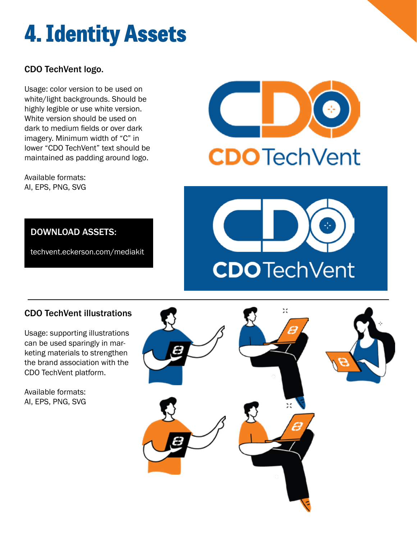## **4. Identity Assets**

## CDO TechVent logo.

Usage: color version to be used on white/light backgrounds. Should be highly legible or use white version. White version should be used on dark to medium fields or over dark imagery. Minimum width of "C" in lower "CDO TechVent" text should be maintained as padding around logo.

Available formats: AI, EPS, PNG, SVG





## DOWNLOAD ASSETS:

techvent.eckerson.com/mediakit

## CDO TechVent illustrations

Usage: supporting illustrations can be used sparingly in marketing materials to strengthen the brand association with the CDO TechVent platform.

Available formats: AI, EPS, PNG, SVG

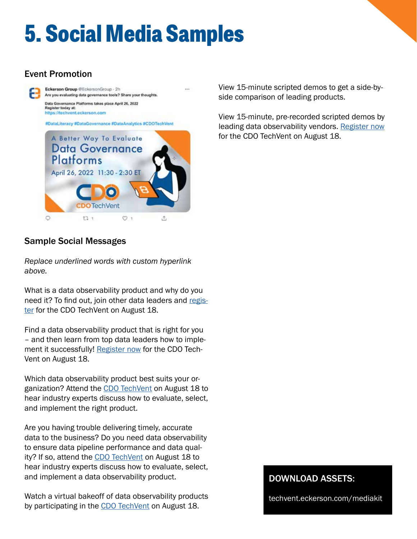## **5. Social Media Samples**

## Event Promotion



### View 15-minute scripted demos to get a side-byside comparison of leading products.

View 15-minute, pre-recorded scripted demos by leading data observability vendors. Register now for the CDO TechVent on August 18.

## Sample Social Messages

*Replace underlined words with custom hyperlink above.*

What is a data observability product and why do you need it? To find out, join other data leaders and register for the CDO TechVent on August 18.

Find a data observability product that is right for you – and then learn from top data leaders how to implement it successfully! Register now for the CDO Tech-Vent on August 18.

Which data observability product best suits your organization? Attend the CDO TechVent on August 18 to hear industry experts discuss how to evaluate, select, and implement the right product.

Are you having trouble delivering timely, accurate data to the business? Do you need data observability to ensure data pipeline performance and data quality? If so, attend the CDO TechVent on August 18 to hear industry experts discuss how to evaluate, select, and implement a data observability product.

Watch a virtual bakeoff of data observability products by participating in the CDO TechVent on August 18.

### DOWNLOAD ASSETS:

techvent.eckerson.com/mediakit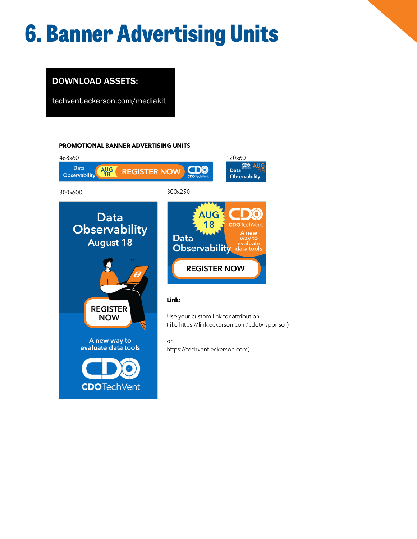## **6. Banner Advertising Units**

## DOWNLOAD ASSETS:

techvent.eckerson.com/mediakit

#### PROMOTIONAL BANNER ADVERTISING UNITS